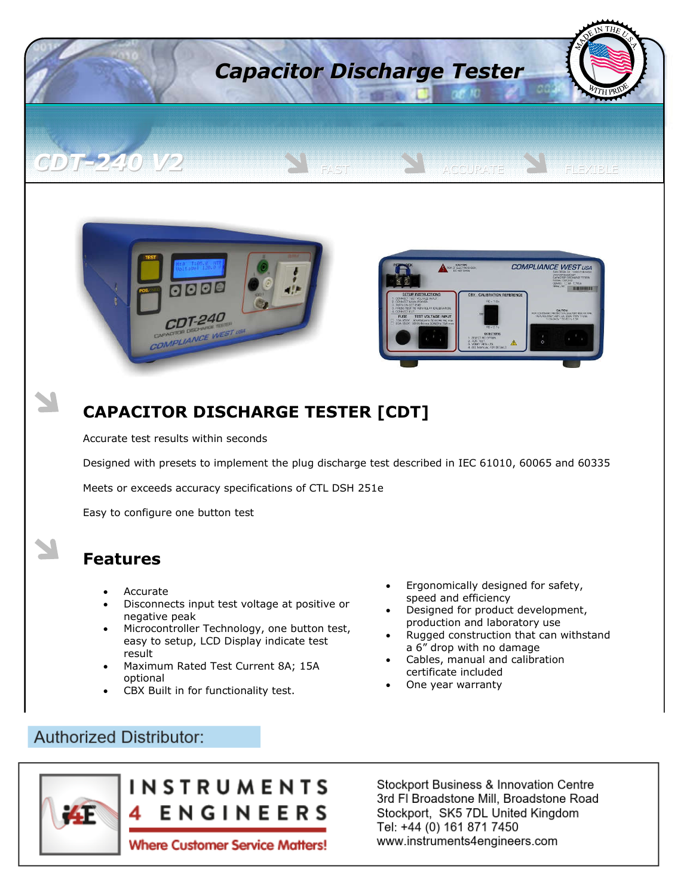

Accurate test results within seconds

Designed with presets to implement the plug discharge test described in IEC 61010, 60065 and 60335

Meets or exceeds accuracy specifications of CTL DSH 251e

Easy to configure one button test

## **Features**

- Accurate
- Disconnects input test voltage at positive or negative peak
- Microcontroller Technology, one button test, easy to setup, LCD Display indicate test result
- Maximum Rated Test Current 8A; 15A optional
- CBX Built in for functionality test.
- Ergonomically designed for safety, speed and efficiency
- Designed for product development, production and laboratory use
- Rugged construction that can withstand a 6" drop with no damage
- Cables, manual and calibration certificate included
- One year warranty

### **Authorized Distributor:**

 $\overline{\phantom{a}}$ 



**Stockport Business & Innovation Centre** 3rd FI Broadstone Mill, Broadstone Road Stockport, SK5 7DL United Kingdom